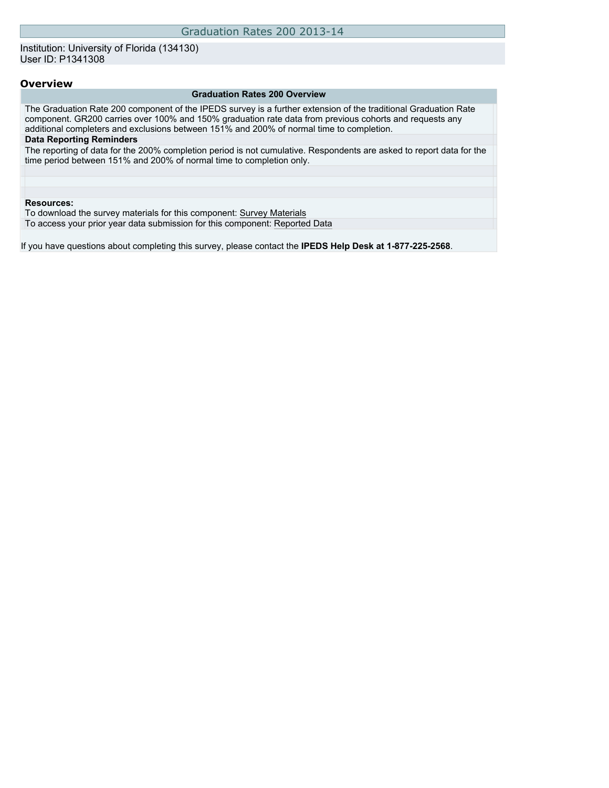### Institution: University of Florida (134130) User ID: P1341308

### **Overview**

#### **Graduation Rates 200 Overview**

The Graduation Rate 200 component of the IPEDS survey is a further extension of the traditional Graduation Rate component. GR200 carries over 100% and 150% graduation rate data from previous cohorts and requests any additional completers and exclusions between 151% and 200% of normal time to completion. **Data Reporting Reminders**

The reporting of data for the 200% completion period is not cumulative. Respondents are asked to report data for the time period between 151% and 200% of normal time to completion only.

#### **Resources:**

To download the survey materials for this component: [Survey Materials](https://surveys.nces.ed.gov/ipeds/VisIndex.aspx)

To access your prior year data submission for this component: [Reported Data](https://surveys.nces.ed.gov/IPEDS/PriorYearDataRedirect.aspx?survey_id=2)

If you have questions about completing this survey, please contact the **IPEDS Help Desk at 1-877-225-2568**.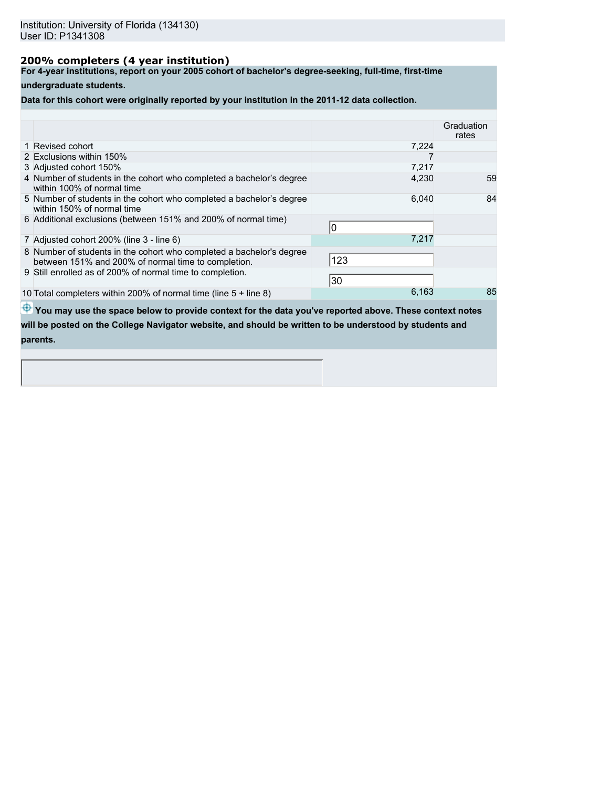# **200% completers (4 year institution)**

**For 4-year institutions, report on your 2005 cohort of bachelor's degree-seeking, full-time, first-time**

## **undergraduate students.**

**Data for this cohort were originally reported by your institution in the 2011-12 data collection.**

|                                                                                                                             |       | Graduation<br>rates |
|-----------------------------------------------------------------------------------------------------------------------------|-------|---------------------|
| 1 Revised cohort                                                                                                            | 7,224 |                     |
| 2 Exclusions within 150%                                                                                                    |       |                     |
| 3 Adjusted cohort 150%                                                                                                      | 7,217 |                     |
| 4 Number of students in the cohort who completed a bachelor's degree<br>within 100% of normal time                          | 4,230 | 59                  |
| 5 Number of students in the cohort who completed a bachelor's degree<br>within 150% of normal time                          | 6,040 | 84                  |
| 6 Additional exclusions (between 151% and 200% of normal time)                                                              | 0     |                     |
| 7 Adjusted cohort 200% (line 3 - line 6)                                                                                    | 7,217 |                     |
| 8 Number of students in the cohort who completed a bachelor's degree<br>between 151% and 200% of normal time to completion. | 123   |                     |
| 9 Still enrolled as of 200% of normal time to completion.                                                                   | 30    |                     |
| 10 Total completers within 200% of normal time (line $5 +$ line 8)                                                          | 6,163 | 85                  |
|                                                                                                                             |       |                     |

 $\bigoplus$  **You may use the space below to provide context for the data you've reported above. These context notes** 

**will be posted on the College Navigator website, and should be written to be understood by students and parents.**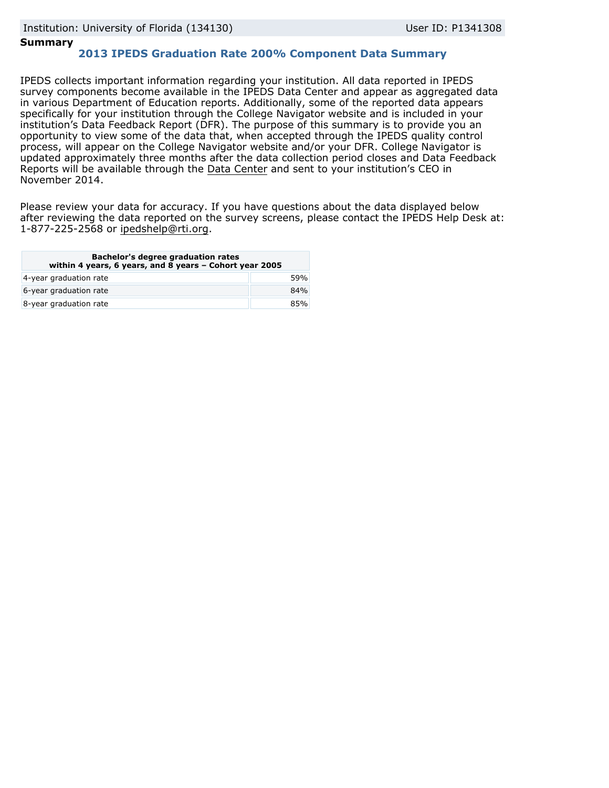## **Summary**

# **2013 IPEDS Graduation Rate 200% Component Data Summary**

IPEDS collects important information regarding your institution. All data reported in IPEDS survey components become available in the IPEDS Data Center and appear as aggregated data in various Department of Education reports. Additionally, some of the reported data appears specifically for your institution through the College Navigator website and is included in your institution's Data Feedback Report (DFR). The purpose of this summary is to provide you an opportunity to view some of the data that, when accepted through the IPEDS quality control process, will appear on the College Navigator website and/or your DFR. College Navigator is updated approximately three months after the data collection period closes and Data Feedback Reports will be available through the [Data Center](http://nces.ed.gov/ipeds/datacenter/) and sent to your institution's CEO in November 2014.

Please review your data for accuracy. If you have questions about the data displayed below after reviewing the data reported on the survey screens, please contact the IPEDS Help Desk at: 1-877-225-2568 or ipedshelp@rti.org.

| <b>Bachelor's degree graduation rates</b><br>within 4 years, 6 years, and 8 years - Cohort year 2005 |     |  |
|------------------------------------------------------------------------------------------------------|-----|--|
| 4-year graduation rate                                                                               | 59% |  |
| 6-year graduation rate                                                                               | 84% |  |
| 8-year graduation rate                                                                               | 85% |  |